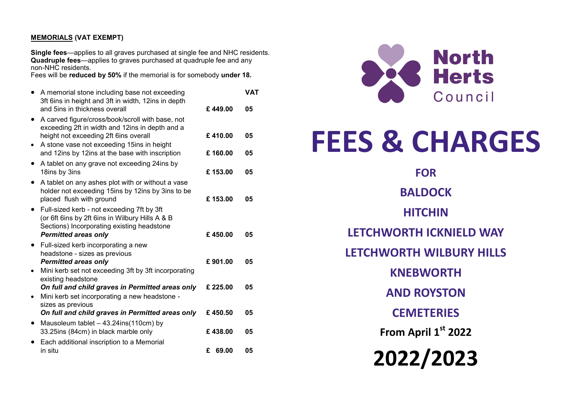## **MEMORIALS (VAT EXEMPT)**

**Single fees**—applies to all graves purchased at single fee and NHC residents. **Quadruple fees**—applies to graves purchased at quadruple fee and any non-NHC residents.

Fees will be **reduced by 50%** if the memorial is for somebody **under 18.**

|           | A memorial stone including base not exceeding<br>3ft 6ins in height and 3ft in width, 12ins in depth<br>and 5ins in thickness overall                                      | £449.00  | <b>VAT</b><br>05 |
|-----------|----------------------------------------------------------------------------------------------------------------------------------------------------------------------------|----------|------------------|
| $\bullet$ | A carved figure/cross/book/scroll with base, not<br>exceeding 2ft in width and 12ins in depth and a<br>height not exceeding 2ft 6ins overall                               | £410.00  | 05               |
|           | A stone vase not exceeding 15ins in height<br>and 12ins by 12ins at the base with inscription                                                                              | £160.00  | 05               |
| ٠         | A tablet on any grave not exceeding 24ins by<br>18ins by 3ins                                                                                                              | £153.00  | 05               |
|           | A tablet on any ashes plot with or without a vase<br>holder not exceeding 15ins by 12ins by 3ins to be<br>placed flush with ground                                         | £153.00  | 05               |
|           | Full-sized kerb - not exceeding 7ft by 3ft<br>(or 6ft 6ins by 2ft 6ins in Wilbury Hills A & B<br>Sections) Incorporating existing headstone<br><b>Permitted areas only</b> | £450.00  | 05               |
| $\bullet$ | Full-sized kerb incorporating a new<br>headstone - sizes as previous<br><b>Permitted areas only</b><br>Mini kerb set not exceeding 3ft by 3ft incorporating                | £901.00  | 05               |
|           | existing headstone<br>On full and child graves in Permitted areas only<br>Mini kerb set incorporating a new headstone -<br>sizes as previous                               | £ 225.00 | 05               |
|           | On full and child graves in Permitted areas only                                                                                                                           | £450.50  | 05               |
| $\bullet$ | Mausoleum tablet - 43.24ins(110cm) by<br>33.25ins (84cm) in black marble only                                                                                              | £438.00  | 05               |
|           | Each additional inscription to a Memorial<br>in situ                                                                                                                       | £ 69.00  | 05               |



# **FEES & CHARGES**

**FOR BALDOCK HITCHIN LETCHWORTH ICKNIELD WAY LETCHWORTH WILBURY HILLS KNEBWORTH AND ROYSTON CEMETERIES From April 1st 2022 2022/2023**